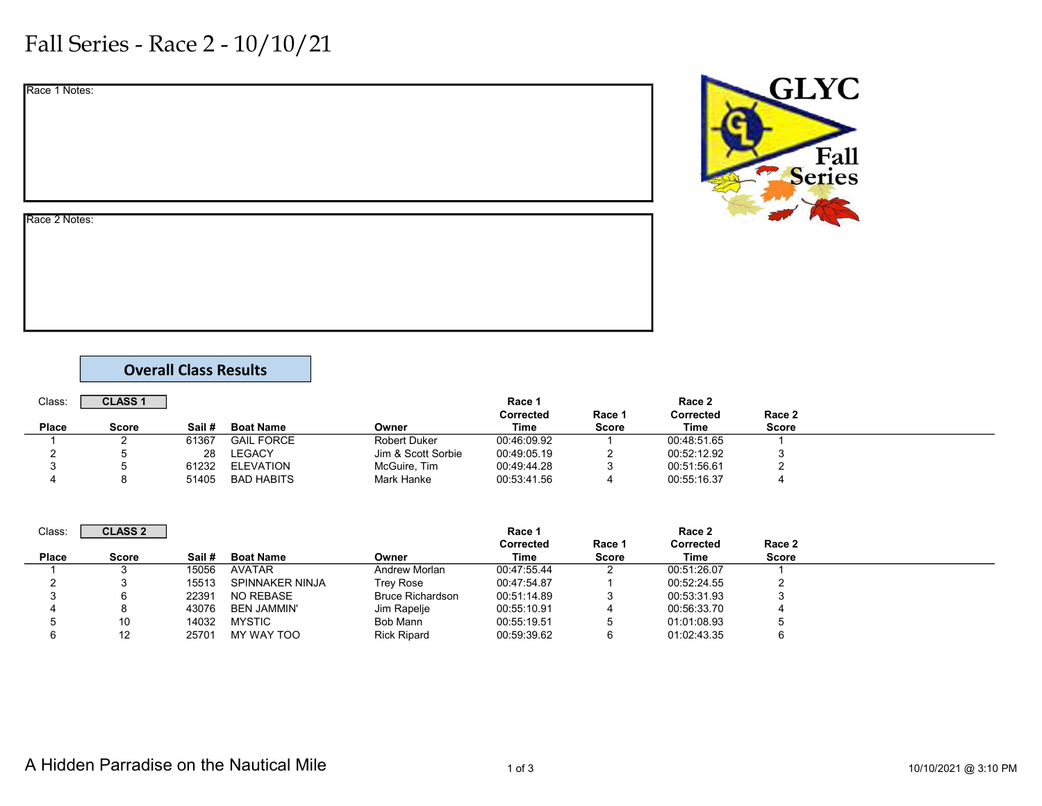## Fall Series - Race 2 - 10/10/21

| Race 1 Notes: |  |  |  |
|---------------|--|--|--|
|               |  |  |  |
|               |  |  |  |
|               |  |  |  |
|               |  |  |  |
| Race 2 Notes: |  |  |  |
|               |  |  |  |
|               |  |  |  |
|               |  |  |  |

## Overall Class Results

| Class: | <b>CLASS 1</b> |        |                   |                    | Race 1      |        | Race 2      |        |  |
|--------|----------------|--------|-------------------|--------------------|-------------|--------|-------------|--------|--|
|        |                |        |                   |                    | Corrected   | Race 1 | Corrected   | Race 2 |  |
| Place  | Score          | Sail # | <b>Boat Name</b>  | Owner              | Time        | Score  | Time        | Score  |  |
|        |                | 61367  | <b>GAIL FORCE</b> | Robert Duker       | 00:46:09.92 |        | 00:48:51.65 |        |  |
|        |                | 28     | <b>LEGACY</b>     | Jim & Scott Sorbie | 00:49:05.19 |        | 00:52:12.92 |        |  |
| v      |                | 61232  | ELEVATION         | McGuire, Tim       | 00:49:44.28 | w      | 00:51:56.61 |        |  |
|        |                | 51405  | <b>BAD HABITS</b> | Mark Hanke         | 00:53:41.56 |        | 00:55:16.37 |        |  |

| Class:       | <b>CLASS 2</b> |        |                    |                         | Race 1      |              | Race 2           |              |  |
|--------------|----------------|--------|--------------------|-------------------------|-------------|--------------|------------------|--------------|--|
|              |                |        |                    |                         | Corrected   | Race 1       | <b>Corrected</b> | Race 2       |  |
| <b>Place</b> | <b>Score</b>   | Sail # | <b>Boat Name</b>   | Owner                   | Time        | <b>Score</b> | Time             | <b>Score</b> |  |
|              |                | 15056  | AVATAR             | Andrew Morlan           | 00:47:55.44 |              | 00:51:26.07      |              |  |
|              |                | 15513  | SPINNAKER NINJA    | Trey Rose               | 00:47:54.87 |              | 00:52:24.55      |              |  |
|              |                | 22391  | NO REBASE          | <b>Bruce Richardson</b> | 00:51:14.89 |              | 00:53:31.93      |              |  |
|              |                | 43076  | <b>BEN JAMMIN'</b> | Jim Rapelje             | 00:55:10.91 |              | 00:56:33.70      |              |  |
|              | 10             | 14032  | <b>MYSTIC</b>      | Bob Mann                | 00:55:19.51 |              | 01:01:08.93      |              |  |
|              | 12             | 25701  | MY WAY TOO         | <b>Rick Ripard</b>      | 00:59:39.62 |              | 01:02:43.35      |              |  |

**GLYC** 

Fall<br>Series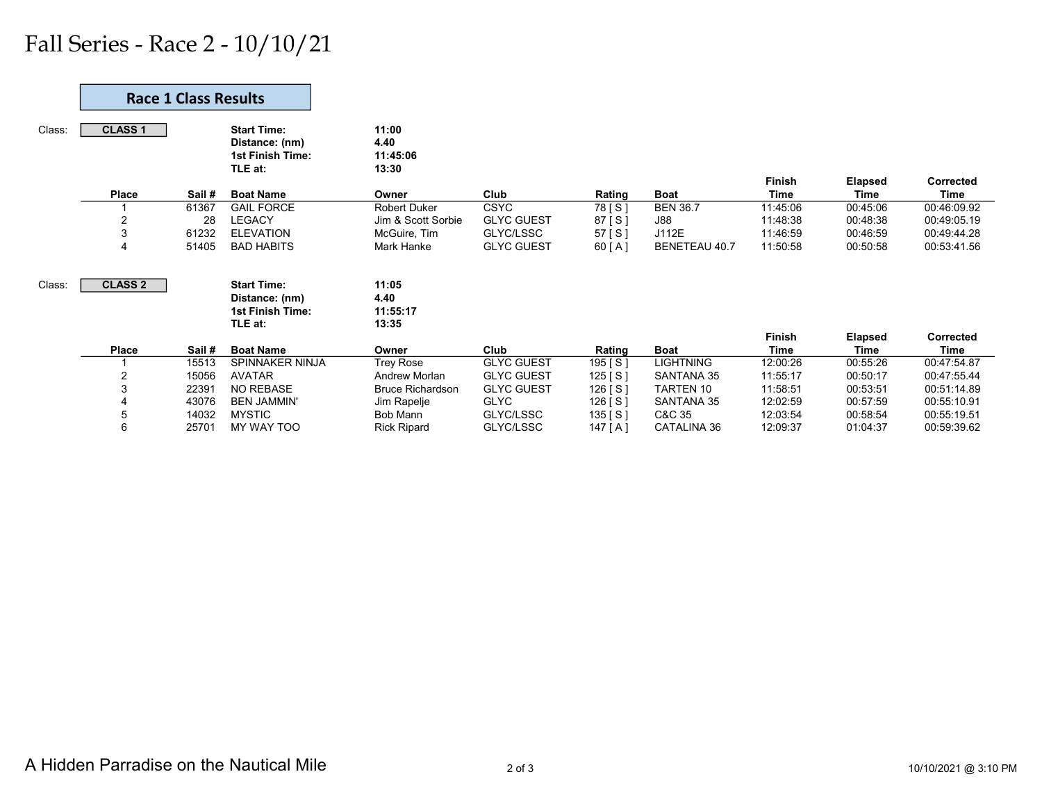## Fall Series - Race 2 - 10/10/21

|        | <b>Race 1 Class Results</b> |       |                                                                            |                                    |                   |           |                   |               |                |                  |
|--------|-----------------------------|-------|----------------------------------------------------------------------------|------------------------------------|-------------------|-----------|-------------------|---------------|----------------|------------------|
| Class: | <b>CLASS 1</b>              |       | <b>Start Time:</b><br>Distance: (nm)<br>1st Finish Time:<br>TLE at:        | 11:00<br>4.40<br>11:45:06<br>13:30 |                   |           |                   | <b>Finish</b> | <b>Elapsed</b> | <b>Corrected</b> |
|        | <b>Place</b>                | Sail# | <b>Boat Name</b>                                                           | Owner                              | Club              | Rating    | <b>Boat</b>       | <b>Time</b>   | Time           | Time             |
|        |                             | 61367 | <b>GAIL FORCE</b>                                                          | <b>Robert Duker</b>                | <b>CSYC</b>       | 78 [ S ]  | <b>BEN 36.7</b>   | 11:45:06      | 00:45:06       | 00:46:09.92      |
|        | $\overline{2}$              | 28    | <b>LEGACY</b>                                                              | Jim & Scott Sorbie                 | <b>GLYC GUEST</b> | 87 [S]    | <b>J88</b>        | 11:48:38      | 00:48:38       | 00:49:05.19      |
|        | 3                           | 61232 | <b>ELEVATION</b>                                                           | McGuire, Tim                       | GLYC/LSSC         | 57 [ S ]  | J112E             | 11:46:59      | 00:46:59       | 00:49:44.28      |
|        | $\overline{4}$              | 51405 | <b>BAD HABITS</b>                                                          | Mark Hanke                         | <b>GLYC GUEST</b> | 60 [ A ]  | BENETEAU 40.7     | 11:50:58      | 00:50:58       | 00:53:41.56      |
| Class: | <b>CLASS 2</b>              |       | <b>Start Time:</b><br>Distance: (nm)<br><b>1st Finish Time:</b><br>TLE at: | 11:05<br>4.40<br>11:55:17<br>13:35 |                   |           |                   |               |                |                  |
|        |                             |       |                                                                            |                                    |                   |           |                   | <b>Finish</b> | <b>Elapsed</b> | <b>Corrected</b> |
|        | <b>Place</b>                | Sail# | <b>Boat Name</b>                                                           | Owner                              | Club              | Rating    | <b>Boat</b>       | <b>Time</b>   | Time           | Time             |
|        |                             | 15513 | SPINNAKER NINJA                                                            | Trey Rose                          | <b>GLYC GUEST</b> | 195 [S]   | <b>LIGHTNING</b>  | 12:00:26      | 00:55:26       | 00:47:54.87      |
|        | $\overline{2}$              | 15056 | <b>AVATAR</b>                                                              | Andrew Morlan                      | <b>GLYC GUEST</b> | 125 [S]   | <b>SANTANA 35</b> | 11:55:17      | 00:50:17       | 00:47:55.44      |
|        | 3                           | 22391 | NO REBASE                                                                  | <b>Bruce Richardson</b>            | <b>GLYC GUEST</b> | 126 [S]   | <b>TARTEN 10</b>  | 11:58:51      | 00:53:51       | 00:51:14.89      |
|        | 4                           | 43076 | <b>BEN JAMMIN'</b>                                                         | Jim Rapelje                        | <b>GLYC</b>       | 126 [ S ] | <b>SANTANA 35</b> | 12:02:59      | 00:57:59       | 00:55:10.91      |
|        | 5                           | 14032 | <b>MYSTIC</b>                                                              | Bob Mann                           | GLYC/LSSC         | 135 [S]   | C&C 35            | 12:03:54      | 00:58:54       | 00:55:19.51      |
|        | 6                           | 25701 | MY WAY TOO                                                                 | <b>Rick Ripard</b>                 | GLYC/LSSC         | 147 [ A ] | CATALINA 36       | 12:09:37      | 01:04:37       | 00:59:39.62      |